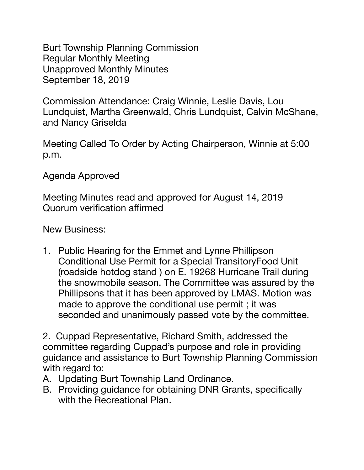Burt Township Planning Commission Regular Monthly Meeting Unapproved Monthly Minutes September 18, 2019

Commission Attendance: Craig Winnie, Leslie Davis, Lou Lundquist, Martha Greenwald, Chris Lundquist, Calvin McShane, and Nancy Griselda

Meeting Called To Order by Acting Chairperson, Winnie at 5:00 p.m.

Agenda Approved

Meeting Minutes read and approved for August 14, 2019 Quorum verification affirmed

New Business:

1. Public Hearing for the Emmet and Lynne Phillipson Conditional Use Permit for a Special TransitoryFood Unit (roadside hotdog stand ) on E. 19268 Hurricane Trail during the snowmobile season. The Committee was assured by the Phillipsons that it has been approved by LMAS. Motion was made to approve the conditional use permit ; it was seconded and unanimously passed vote by the committee.

2. Cuppad Representative, Richard Smith, addressed the committee regarding Cuppad's purpose and role in providing guidance and assistance to Burt Township Planning Commission with regard to:

- A. Updating Burt Township Land Ordinance.
- B. Providing guidance for obtaining DNR Grants, specifically with the Recreational Plan.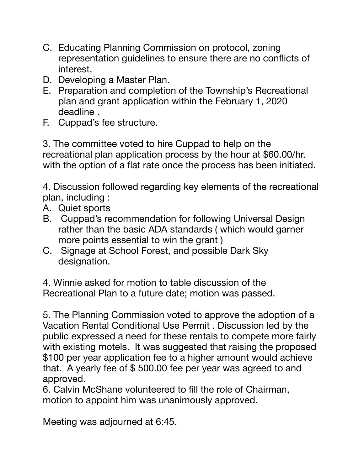- C. Educating Planning Commission on protocol, zoning representation guidelines to ensure there are no conflicts of interest.
- D. Developing a Master Plan.
- E. Preparation and completion of the Township's Recreational plan and grant application within the February 1, 2020 deadline .
- F. Cuppad's fee structure.

3. The committee voted to hire Cuppad to help on the recreational plan application process by the hour at \$60.00/hr. with the option of a flat rate once the process has been initiated.

4. Discussion followed regarding key elements of the recreational plan, including :

- A. Quiet sports
- B. Cuppad's recommendation for following Universal Design rather than the basic ADA standards ( which would garner more points essential to win the grant )
- C. Signage at School Forest, and possible Dark Sky designation.

4. Winnie asked for motion to table discussion of the Recreational Plan to a future date; motion was passed.

5. The Planning Commission voted to approve the adoption of a Vacation Rental Conditional Use Permit . Discussion led by the public expressed a need for these rentals to compete more fairly with existing motels. It was suggested that raising the proposed \$100 per year application fee to a higher amount would achieve that. A yearly fee of \$ 500.00 fee per year was agreed to and approved.

6. Calvin McShane volunteered to fill the role of Chairman, motion to appoint him was unanimously approved.

Meeting was adjourned at 6:45.